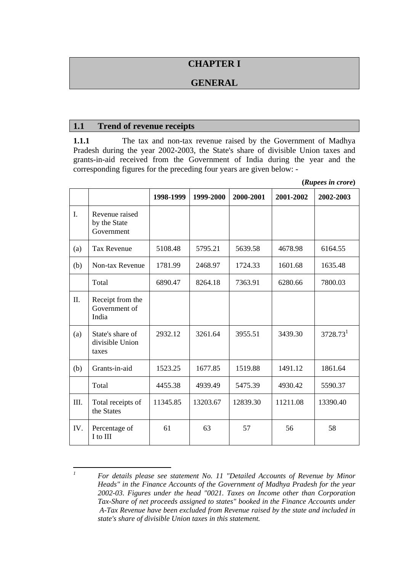## **CHAPTER I**

## **GENERAL**

### **1.1 Trend of revenue receipts**

**1.1.1** The tax and non-tax revenue raised by the Government of Madhya Pradesh during the year 2002-2003, the State's share of divisible Union taxes and grants-in-aid received from the Government of India during the year and the corresponding figures for the preceding four years are given below: -

**(***Rupees in crore***)** 

|      |                                              | 1998-1999 | 1999-2000 | 2000-2001 | 2001-2002 | 2002-2003            |
|------|----------------------------------------------|-----------|-----------|-----------|-----------|----------------------|
| I.   | Revenue raised<br>by the State<br>Government |           |           |           |           |                      |
| (a)  | <b>Tax Revenue</b>                           | 5108.48   | 5795.21   | 5639.58   | 4678.98   | 6164.55              |
| (b)  | Non-tax Revenue                              | 1781.99   | 2468.97   | 1724.33   | 1601.68   | 1635.48              |
|      | Total                                        | 6890.47   | 8264.18   | 7363.91   | 6280.66   | 7800.03              |
| II.  | Receipt from the<br>Government of<br>India   |           |           |           |           |                      |
| (a)  | State's share of<br>divisible Union<br>taxes | 2932.12   | 3261.64   | 3955.51   | 3439.30   | 3728.73 <sup>1</sup> |
| (b)  | Grants-in-aid                                | 1523.25   | 1677.85   | 1519.88   | 1491.12   | 1861.64              |
|      | Total                                        | 4455.38   | 4939.49   | 5475.39   | 4930.42   | 5590.37              |
| III. | Total receipts of<br>the States              | 11345.85  | 13203.67  | 12839.30  | 11211.08  | 13390.40             |
| IV.  | Percentage of<br>I to III                    | 61        | 63        | 57        | 56        | 58                   |

 *1 For details please see statement No. 11 "Detailed Accounts of Revenue by Minor Heads" in the Finance Accounts of the Government of Madhya Pradesh for the year 2002-03. Figures under the head "0021. Taxes on Income other than Corporation Tax-Share of net proceeds assigned to states" booked in the Finance Accounts under A-Tax Revenue have been excluded from Revenue raised by the state and included in state's share of divisible Union taxes in this statement.*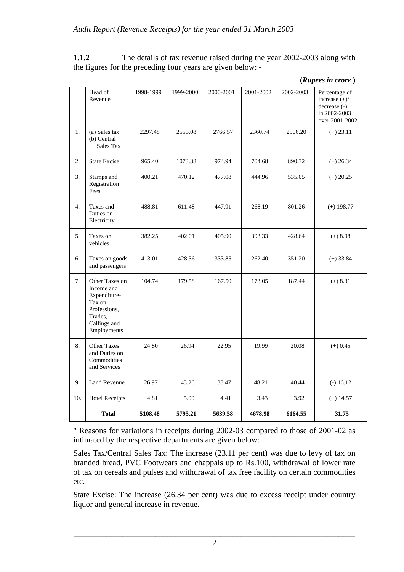**1.1.2** The details of tax revenue raised during the year 2002-2003 along with the figures for the preceding four years are given below: -

*\_\_\_\_\_\_\_\_\_\_\_\_\_\_\_\_\_\_\_\_\_\_\_\_\_\_\_\_\_\_\_\_\_\_\_\_\_\_\_\_\_\_\_\_\_\_\_\_\_\_\_\_\_\_\_\_\_\_\_\_\_\_\_\_\_\_\_\_\_* 

|     | Head of<br>Revenue                                                                                               | 1998-1999 | 1999-2000 | 2000-2001 | 2001-2002 | 2002-2003 | Percentage of<br>increase $(+)/$<br>decrease (-)<br>in 2002-2003<br>over 2001-2002 |
|-----|------------------------------------------------------------------------------------------------------------------|-----------|-----------|-----------|-----------|-----------|------------------------------------------------------------------------------------|
| 1.  | (a) Sales tax<br>(b) Central<br>Sales Tax                                                                        | 2297.48   | 2555.08   | 2766.57   | 2360.74   | 2906.20   | $(+) 23.11$                                                                        |
| 2.  | <b>State Excise</b>                                                                                              | 965.40    | 1073.38   | 974.94    | 704.68    | 890.32    | $(+) 26.34$                                                                        |
| 3.  | Stamps and<br>Registration<br>Fees                                                                               | 400.21    | 470.12    | 477.08    | 444.96    | 535.05    | $(+) 20.25$                                                                        |
| 4.  | Taxes and<br>Duties on<br>Electricity                                                                            | 488.81    | 611.48    | 447.91    | 268.19    | 801.26    | $(+)$ 198.77                                                                       |
| 5.  | Taxes on<br>vehicles                                                                                             | 382.25    | 402.01    | 405.90    | 393.33    | 428.64    | $(+)$ 8.98                                                                         |
| 6.  | Taxes on goods<br>and passengers                                                                                 | 413.01    | 428.36    | 333.85    | 262.40    | 351.20    | $(+) 33.84$                                                                        |
| 7.  | Other Taxes on<br>Income and<br>Expenditure-<br>Tax on<br>Professions,<br>Trades,<br>Callings and<br>Employments | 104.74    | 179.58    | 167.50    | 173.05    | 187.44    | $(+) 8.31$                                                                         |
| 8.  | <b>Other Taxes</b><br>and Duties on<br>Commodities<br>and Services                                               | 24.80     | 26.94     | 22.95     | 19.99     | 20.08     | $(+) 0.45$                                                                         |
| 9.  | <b>Land Revenue</b>                                                                                              | 26.97     | 43.26     | 38.47     | 48.21     | 40.44     | $(-) 16.12$                                                                        |
| 10. | <b>Hotel Receipts</b>                                                                                            | 4.81      | 5.00      | 4.41      | 3.43      | 3.92      | $(+)$ 14.57                                                                        |
|     | <b>Total</b>                                                                                                     | 5108.48   | 5795.21   | 5639.58   | 4678.98   | 6164.55   | 31.75                                                                              |

**(***Rupees in crore* **)** 

" Reasons for variations in receipts during 2002-03 compared to those of 2001-02 as intimated by the respective departments are given below:

Sales Tax/Central Sales Tax: The increase (23.11 per cent) was due to levy of tax on branded bread, PVC Footwears and chappals up to Rs.100, withdrawal of lower rate of tax on cereals and pulses and withdrawal of tax free facility on certain commodities etc.

State Excise: The increase (26.34 per cent) was due to excess receipt under country liquor and general increase in revenue.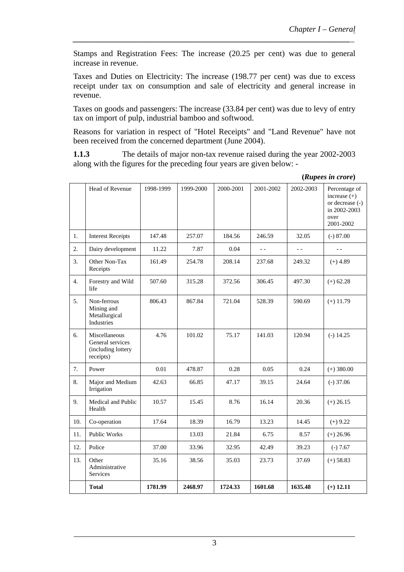Stamps and Registration Fees: The increase (20.25 per cent) was due to general increase in revenue.

*\_\_\_\_\_\_\_\_\_\_\_\_\_\_\_\_\_\_\_\_\_\_\_\_\_\_\_\_\_\_\_\_\_\_\_\_\_\_\_\_\_\_\_\_\_\_\_\_\_\_\_\_\_\_\_\_\_\_\_\_\_\_\_\_\_\_\_\_\_* 

Taxes and Duties on Electricity: The increase (198.77 per cent) was due to excess receipt under tax on consumption and sale of electricity and general increase in revenue.

Taxes on goods and passengers: The increase (33.84 per cent) was due to levy of entry tax on import of pulp, industrial bamboo and softwood.

Reasons for variation in respect of "Hotel Receipts" and "Land Revenue" have not been received from the concerned department (June 2004).

**1.1.3** The details of major non-tax revenue raised during the year 2002-2003 along with the figures for the preceding four years are given below: -

|     | Head of Revenue                                                      | 1998-1999 | 1999-2000 | 2000-2001 | 2001-2002      | 2002-2003 | Percentage of<br>increase $(+)$<br>or decrease (-)<br>in 2002-2003<br>over<br>2001-2002 |
|-----|----------------------------------------------------------------------|-----------|-----------|-----------|----------------|-----------|-----------------------------------------------------------------------------------------|
| 1.  | <b>Interest Receipts</b>                                             | 147.48    | 257.07    | 184.56    | 246.59         | 32.05     | $(-) 87.00$                                                                             |
| 2.  | Dairy development                                                    | 11.22     | 7.87      | 0.04      | $\overline{a}$ | $ -$      | $ -$                                                                                    |
| 3.  | Other Non-Tax<br>Receipts                                            | 161.49    | 254.78    | 208.14    | 237.68         | 249.32    | $(+)$ 4.89                                                                              |
| 4.  | Forestry and Wild<br>life                                            | 507.60    | 315.28    | 372.56    | 306.45         | 497.30    | $(+) 62.28$                                                                             |
| 5.  | Non-ferrous<br>Mining and<br>Metallurgical<br>Industries             | 806.43    | 867.84    | 721.04    | 528.39         | 590.69    | $(+)$ 11.79                                                                             |
| 6.  | Miscellaneous<br>General services<br>(including lottery<br>receipts) | 4.76      | 101.02    | 75.17     | 141.03         | 120.94    | $(-) 14.25$                                                                             |
| 7.  | Power                                                                | 0.01      | 478.87    | 0.28      | 0.05           | 0.24      | $(+)$ 380.00                                                                            |
| 8.  | Major and Medium<br>Irrigation                                       | 42.63     | 66.85     | 47.17     | 39.15          | 24.64     | $(-)$ 37.06                                                                             |
| 9.  | Medical and Public<br>Health                                         | 10.57     | 15.45     | 8.76      | 16.14          | 20.36     | $(+) 26.15$                                                                             |
| 10. | Co-operation                                                         | 17.64     | 18.39     | 16.79     | 13.23          | 14.45     | $(+)$ 9.22                                                                              |
| 11. | Public Works                                                         |           | 13.03     | 21.84     | 6.75           | 8.57      | $(+) 26.96$                                                                             |
| 12. | Police                                                               | 37.00     | 33.96     | 32.95     | 42.49          | 39.23     | $(-) 7.67$                                                                              |
| 13. | Other<br>Administrative<br>Services                                  | 35.16     | 38.56     | 35.03     | 23.73          | 37.69     | $(+) 58.83$                                                                             |
|     | <b>Total</b>                                                         | 1781.99   | 2468.97   | 1724.33   | 1601.68        | 1635.48   | $(+)$ 12.11                                                                             |

**(***Rupees in crore***)**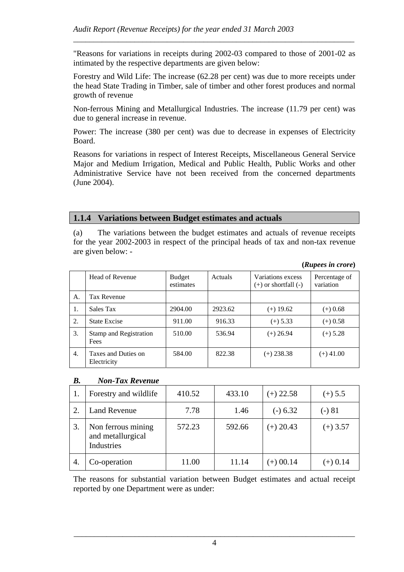"Reasons for variations in receipts during 2002-03 compared to those of 2001-02 as intimated by the respective departments are given below:

*\_\_\_\_\_\_\_\_\_\_\_\_\_\_\_\_\_\_\_\_\_\_\_\_\_\_\_\_\_\_\_\_\_\_\_\_\_\_\_\_\_\_\_\_\_\_\_\_\_\_\_\_\_\_\_\_\_\_\_\_\_\_\_\_\_\_\_\_\_* 

Forestry and Wild Life: The increase (62.28 per cent) was due to more receipts under the head State Trading in Timber, sale of timber and other forest produces and normal growth of revenue

Non-ferrous Mining and Metallurgical Industries. The increase (11.79 per cent) was due to general increase in revenue.

Power: The increase (380 per cent) was due to decrease in expenses of Electricity Board.

Reasons for variations in respect of Interest Receipts, Miscellaneous General Service Major and Medium Irrigation, Medical and Public Health, Public Works and other Administrative Service have not been received from the concerned departments (June 2004).

### **1.1.4 Variations between Budget estimates and actuals**

(a) The variations between the budget estimates and actuals of revenue receipts for the year 2002-2003 in respect of the principal heads of tax and non-tax revenue are given below: -

| (Rupees in crore) |  |
|-------------------|--|

|    | Head of Revenue                    | Budget<br>estimates | <b>Actuals</b> | Variations excess<br>$(+)$ or shortfall $(-)$ | Percentage of<br>variation |
|----|------------------------------------|---------------------|----------------|-----------------------------------------------|----------------------------|
| А. | Tax Revenue                        |                     |                |                                               |                            |
| 1. | Sales Tax                          | 2904.00             | 2923.62        | $(+)$ 19.62                                   | $(+)$ 0.68                 |
| 2. | <b>State Excise</b>                | 911.00              | 916.33         | $(+) 5.33$                                    | $(+)$ 0.58                 |
| 3. | Stamp and Registration<br>Fees     | 510.00              | 536.94         | $(+) 26.94$                                   | $(+) 5.28$                 |
| 4. | Taxes and Duties on<br>Electricity | 584.00              | 822.38         | $(+) 238.38$                                  | $(+)$ 41.00                |

#### *B. Non-Tax Revenue*

|    | Forestry and wildlife                                 | 410.52 | 433.10 | $(+)$ 22.58 | $(+)$ 5.5  |
|----|-------------------------------------------------------|--------|--------|-------------|------------|
|    | <b>Land Revenue</b>                                   | 7.78   | 1.46   | $(-) 6.32$  | (-) 81     |
| 3. | Non ferrous mining<br>and metallurgical<br>Industries | 572.23 | 592.66 | $(+) 20.43$ | $(+)$ 3.57 |
| 4. | Co-operation                                          | 11.00  | 11.14  | $(+) 00.14$ | $(+) 0.14$ |

The reasons for substantial variation between Budget estimates and actual receipt reported by one Department were as under: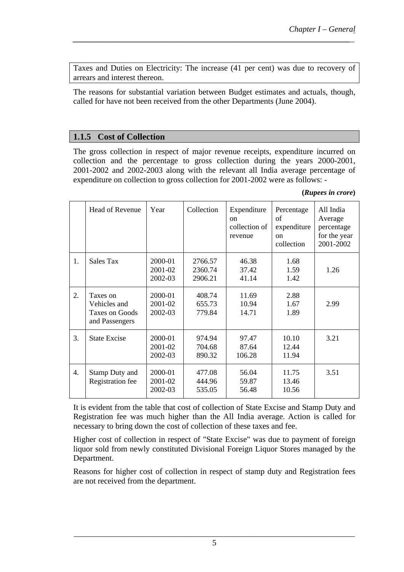Taxes and Duties on Electricity: The increase (41 per cent) was due to recovery of arrears and interest thereon.

*\_\_\_\_\_\_\_\_\_\_\_\_\_\_\_\_\_\_\_\_\_\_\_\_\_\_\_\_\_\_\_\_\_\_\_\_\_\_\_\_\_\_\_\_\_\_\_\_\_\_\_\_\_\_\_\_\_\_\_\_\_\_\_\_\_\_\_\_\_* 

The reasons for substantial variation between Budget estimates and actuals, though, called for have not been received from the other Departments (June 2004).

## **1.1.5 Cost of Collection**

The gross collection in respect of major revenue receipts, expenditure incurred on collection and the percentage to gross collection during the years 2000-2001, 2001-2002 and 2002-2003 along with the relevant all India average percentage of expenditure on collection to gross collection for 2001-2002 were as follows: -

|                  | Head of Revenue                                                     | Year                          | Collection                    | Expenditure<br><sub>on</sub><br>collection of<br>revenue | Percentage<br>of<br>expenditure<br>on<br>collection | All India<br>Average<br>percentage<br>for the year<br>2001-2002 |
|------------------|---------------------------------------------------------------------|-------------------------------|-------------------------------|----------------------------------------------------------|-----------------------------------------------------|-----------------------------------------------------------------|
| 1.               | Sales Tax                                                           | 2000-01<br>2001-02<br>2002-03 | 2766.57<br>2360.74<br>2906.21 | 46.38<br>37.42<br>41.14                                  | 1.68<br>1.59<br>1.42                                | 1.26                                                            |
| 2.               | Taxes on<br>Vehicles and<br><b>Taxes on Goods</b><br>and Passengers | 2000-01<br>2001-02<br>2002-03 | 408.74<br>655.73<br>779.84    | 11.69<br>10.94<br>14.71                                  | 2.88<br>1.67<br>1.89                                | 2.99                                                            |
| 3.               | <b>State Excise</b>                                                 | 2000-01<br>2001-02<br>2002-03 | 974.94<br>704.68<br>890.32    | 97.47<br>87.64<br>106.28                                 | 10.10<br>12.44<br>11.94                             | 3.21                                                            |
| $\overline{4}$ . | <b>Stamp Duty and</b><br>Registration fee                           | 2000-01<br>2001-02<br>2002-03 | 477.08<br>444.96<br>535.05    | 56.04<br>59.87<br>56.48                                  | 11.75<br>13.46<br>10.56                             | 3.51                                                            |

It is evident from the table that cost of collection of State Excise and Stamp Duty and Registration fee was much higher than the All India average. Action is called for necessary to bring down the cost of collection of these taxes and fee.

Higher cost of collection in respect of "State Excise" was due to payment of foreign liquor sold from newly constituted Divisional Foreign Liquor Stores managed by the Department.

Reasons for higher cost of collection in respect of stamp duty and Registration fees are not received from the department.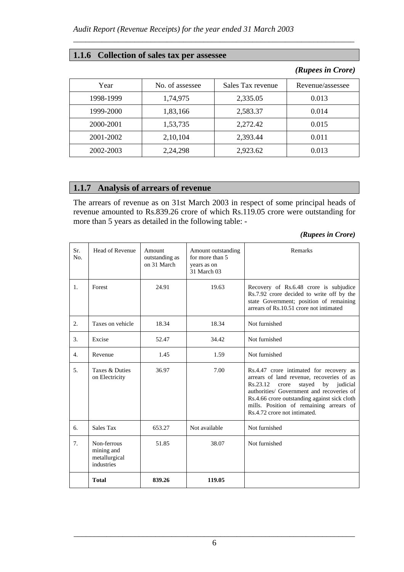### **1.1.6 Collection of sales tax per assessee**

### *(Rupees in Crore)*

| Year      | No. of assessee | Sales Tax revenue | Revenue/assessee |
|-----------|-----------------|-------------------|------------------|
| 1998-1999 | 1,74,975        | 2,335.05          | 0.013            |
| 1999-2000 | 1,83,166        | 2,583.37          | 0.014            |
| 2000-2001 | 1,53,735        | 2,272.42          | 0.015            |
| 2001-2002 | 2,10,104        | 2,393.44          | 0.011            |
| 2002-2003 | 2,24,298        | 2,923.62          | 0.013            |

*\_\_\_\_\_\_\_\_\_\_\_\_\_\_\_\_\_\_\_\_\_\_\_\_\_\_\_\_\_\_\_\_\_\_\_\_\_\_\_\_\_\_\_\_\_\_\_\_\_\_\_\_\_\_\_\_\_\_\_\_\_\_\_\_\_\_\_\_\_* 

## **1.1.7 Analysis of arrears of revenue**

The arrears of revenue as on 31st March 2003 in respect of some principal heads of revenue amounted to Rs.839.26 crore of which Rs.119.05 crore were outstanding for more than 5 years as detailed in the following table: -

#### *(Rupees in Crore)*

| Sr.<br>No.       | Head of Revenue                                          | Amount<br>outstanding as<br>on 31 March | Amount outstanding<br>for more than 5<br>years as on<br>31 March 03 | Remarks                                                                                                                                                                                                                                                                                                        |
|------------------|----------------------------------------------------------|-----------------------------------------|---------------------------------------------------------------------|----------------------------------------------------------------------------------------------------------------------------------------------------------------------------------------------------------------------------------------------------------------------------------------------------------------|
| 1.               | Forest                                                   | 24.91                                   | 19.63                                                               | Recovery of Rs.6.48 crore is subjudice<br>Rs.7.92 crore decided to write off by the<br>state Government; position of remaining<br>arrears of Rs.10.51 crore not intimated                                                                                                                                      |
| 2.               | Taxes on vehicle                                         | 18.34                                   | 18.34                                                               | Not furnished                                                                                                                                                                                                                                                                                                  |
| 3.               | Excise                                                   | 52.47                                   | 34.42                                                               | Not furnished                                                                                                                                                                                                                                                                                                  |
| $\overline{4}$ . | Revenue                                                  | 1.45                                    | 1.59                                                                | Not furnished                                                                                                                                                                                                                                                                                                  |
| 5.               | Taxes & Duties<br>on Electricity                         | 36.97                                   | 7.00                                                                | Rs.4.47 crore intimated for recovery as<br>arrears of land revenue, recoveries of as<br>Rs.23.12<br>stayed<br>crore<br>by<br>judicial<br>authorities/ Government and recoveries of<br>Rs.4.66 crore outstanding against sick cloth<br>mills. Position of remaining arrears of<br>Rs. 4.72 crore not intimated. |
| 6.               | Sales Tax                                                | 653.27                                  | Not available                                                       | Not furnished                                                                                                                                                                                                                                                                                                  |
| 7.               | Non-ferrous<br>mining and<br>metallurgical<br>industries | 51.85                                   | 38.07                                                               | Not furnished                                                                                                                                                                                                                                                                                                  |
|                  | <b>Total</b>                                             | 839.26                                  | 119.05                                                              |                                                                                                                                                                                                                                                                                                                |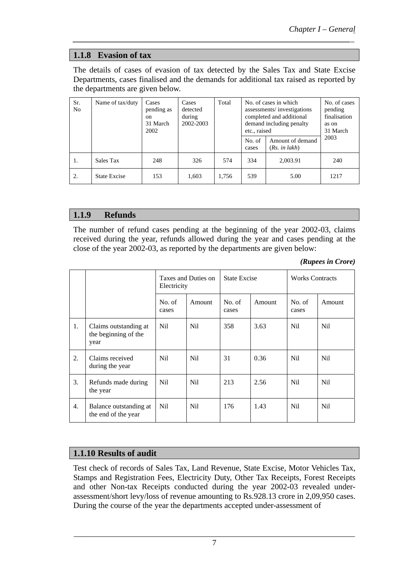# **1.1.8 Evasion of tax**

The details of cases of evasion of tax detected by the Sales Tax and State Excise Departments, cases finalised and the demands for additional tax raised as reported by the departments are given below.

*\_\_\_\_\_\_\_\_\_\_\_\_\_\_\_\_\_\_\_\_\_\_\_\_\_\_\_\_\_\_\_\_\_\_\_\_\_\_\_\_\_\_\_\_\_\_\_\_\_\_\_\_\_\_\_\_\_\_\_\_\_\_\_\_\_\_\_\_\_* 

| Sr.<br>N <sub>0</sub> | Name of tax/duty    | Cases<br>pending as<br><sub>on</sub><br>31 March<br>2002 | Cases<br>detected<br>during<br>2002-2003 | Total | No. of cases in which<br>assessments/investigations<br>completed and additional<br>demand including penalty<br>etc., raised |                                   | No. of cases<br>pending<br>finalisation<br>as on<br>31 March |
|-----------------------|---------------------|----------------------------------------------------------|------------------------------------------|-------|-----------------------------------------------------------------------------------------------------------------------------|-----------------------------------|--------------------------------------------------------------|
|                       |                     |                                                          |                                          |       | No. of<br>cases                                                                                                             | Amount of demand<br>(Rs. in lakh) | 2003                                                         |
| 1.                    | Sales Tax           | 248                                                      | 326                                      | 574   | 334                                                                                                                         | 2,003.91                          | 240                                                          |
| 2.                    | <b>State Excise</b> | 153                                                      | 1,603                                    | 1.756 | 539                                                                                                                         | 5.00                              | 1217                                                         |

## **1.1.9 Refunds**

The number of refund cases pending at the beginning of the year 2002-03, claims received during the year, refunds allowed during the year and cases pending at the close of the year 2002-03, as reported by the departments are given below:

*(Rupees in Crore)* 

|    |                                                       | Taxes and Duties on<br>Electricity |                 | <b>State Excise</b> |        | <b>Works Contracts</b> |                 |
|----|-------------------------------------------------------|------------------------------------|-----------------|---------------------|--------|------------------------|-----------------|
|    |                                                       | No. of<br>cases                    | Amount          | No. of<br>cases     | Amount | No. of<br>cases        | Amount          |
| 1. | Claims outstanding at<br>the beginning of the<br>year | Nil.                               | Nil.            | 358                 | 3.63   | N <sub>il</sub>        | Nil.            |
| 2. | Claims received<br>during the year                    | Nil                                | N <sub>il</sub> | 31                  | 0.36   | <b>Nil</b>             | Nil             |
| 3. | Refunds made during<br>the year                       | N <sub>il</sub>                    | N <sub>il</sub> | 213                 | 2.56   | <b>Nil</b>             | N <sub>il</sub> |
| 4. | Balance outstanding at<br>the end of the year         | Nil                                | Nil             | 176                 | 1.43   | Nil.                   | Nil             |

## **1.1.10 Results of audit**

Test check of records of Sales Tax, Land Revenue, State Excise, Motor Vehicles Tax, Stamps and Registration Fees, Electricity Duty, Other Tax Receipts, Forest Receipts and other Non-tax Receipts conducted during the year 2002-03 revealed underassessment/short levy/loss of revenue amounting to Rs.928.13 crore in 2,09,950 cases. During the course of the year the departments accepted under-assessment of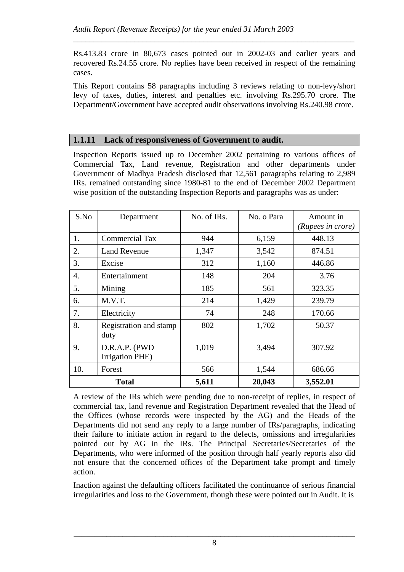Rs.413.83 crore in 80,673 cases pointed out in 2002-03 and earlier years and recovered Rs.24.55 crore. No replies have been received in respect of the remaining cases.

*\_\_\_\_\_\_\_\_\_\_\_\_\_\_\_\_\_\_\_\_\_\_\_\_\_\_\_\_\_\_\_\_\_\_\_\_\_\_\_\_\_\_\_\_\_\_\_\_\_\_\_\_\_\_\_\_\_\_\_\_\_\_\_\_\_\_\_\_\_* 

This Report contains 58 paragraphs including 3 reviews relating to non-levy/short levy of taxes, duties, interest and penalties etc. involving Rs.295.70 crore. The Department/Government have accepted audit observations involving Rs.240.98 crore.

### **1.1.11 Lack of responsiveness of Government to audit.**

Inspection Reports issued up to December 2002 pertaining to various offices of Commercial Tax, Land revenue, Registration and other departments under Government of Madhya Pradesh disclosed that 12,561 paragraphs relating to 2,989 IRs. remained outstanding since 1980-81 to the end of December 2002 Department wise position of the outstanding Inspection Reports and paragraphs was as under:

| S.No         | Department                       | No. of IRs. | No. o Para | Amount in<br>(Rupees in crore) |
|--------------|----------------------------------|-------------|------------|--------------------------------|
| 1.           | <b>Commercial Tax</b>            | 944         | 6,159      | 448.13                         |
| 2.           | <b>Land Revenue</b>              | 1,347       | 3,542      | 874.51                         |
| 3.           | Excise                           | 312         | 1,160      | 446.86                         |
| 4.           | Entertainment                    | 148         | 204        | 3.76                           |
| 5.           | Mining                           | 185         | 561        | 323.35                         |
| 6.           | M.V.T.                           | 214         | 1,429      | 239.79                         |
| 7.           | Electricity                      | 74          | 248        | 170.66                         |
| 8.           | Registration and stamp<br>duty   | 802         | 1,702      | 50.37                          |
| 9.           | D.R.A.P. (PWD<br>Irrigation PHE) | 1,019       | 3,494      | 307.92                         |
| 10.          | Forest                           | 566         | 1,544      | 686.66                         |
| <b>Total</b> |                                  | 5,611       | 20,043     | 3,552.01                       |

A review of the IRs which were pending due to non-receipt of replies, in respect of commercial tax, land revenue and Registration Department revealed that the Head of the Offices (whose records were inspected by the AG) and the Heads of the Departments did not send any reply to a large number of IRs/paragraphs, indicating their failure to initiate action in regard to the defects, omissions and irregularities pointed out by AG in the IRs. The Principal Secretaries/Secretaries of the Departments, who were informed of the position through half yearly reports also did not ensure that the concerned offices of the Department take prompt and timely action.

Inaction against the defaulting officers facilitated the continuance of serious financial irregularities and loss to the Government, though these were pointed out in Audit. It is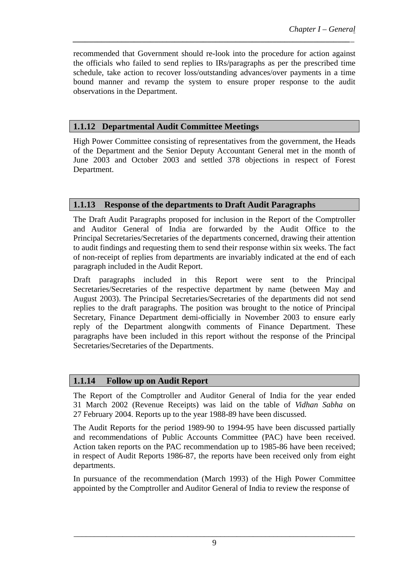recommended that Government should re-look into the procedure for action against the officials who failed to send replies to IRs/paragraphs as per the prescribed time schedule, take action to recover loss/outstanding advances/over payments in a time bound manner and revamp the system to ensure proper response to the audit observations in the Department.

*\_\_\_\_\_\_\_\_\_\_\_\_\_\_\_\_\_\_\_\_\_\_\_\_\_\_\_\_\_\_\_\_\_\_\_\_\_\_\_\_\_\_\_\_\_\_\_\_\_\_\_\_\_\_\_\_\_\_\_\_\_\_\_\_\_\_\_\_\_* 

## **1.1.12 Departmental Audit Committee Meetings**

High Power Committee consisting of representatives from the government, the Heads of the Department and the Senior Deputy Accountant General met in the month of June 2003 and October 2003 and settled 378 objections in respect of Forest Department.

## **1.1.13 Response of the departments to Draft Audit Paragraphs**

The Draft Audit Paragraphs proposed for inclusion in the Report of the Comptroller and Auditor General of India are forwarded by the Audit Office to the Principal Secretaries/Secretaries of the departments concerned, drawing their attention to audit findings and requesting them to send their response within six weeks. The fact of non-receipt of replies from departments are invariably indicated at the end of each paragraph included in the Audit Report.

Draft paragraphs included in this Report were sent to the Principal Secretaries/Secretaries of the respective department by name (between May and August 2003). The Principal Secretaries/Secretaries of the departments did not send replies to the draft paragraphs. The position was brought to the notice of Principal Secretary, Finance Department demi-officially in November 2003 to ensure early reply of the Department alongwith comments of Finance Department. These paragraphs have been included in this report without the response of the Principal Secretaries/Secretaries of the Departments.

### **1.1.14 Follow up on Audit Report**

The Report of the Comptroller and Auditor General of India for the year ended 31 March 2002 (Revenue Receipts) was laid on the table of *Vidhan Sabha* on 27 February 2004. Reports up to the year 1988-89 have been discussed.

The Audit Reports for the period 1989-90 to 1994-95 have been discussed partially and recommendations of Public Accounts Committee (PAC) have been received. Action taken reports on the PAC recommendation up to 1985-86 have been received; in respect of Audit Reports 1986-87, the reports have been received only from eight departments.

In pursuance of the recommendation (March 1993) of the High Power Committee appointed by the Comptroller and Auditor General of India to review the response of